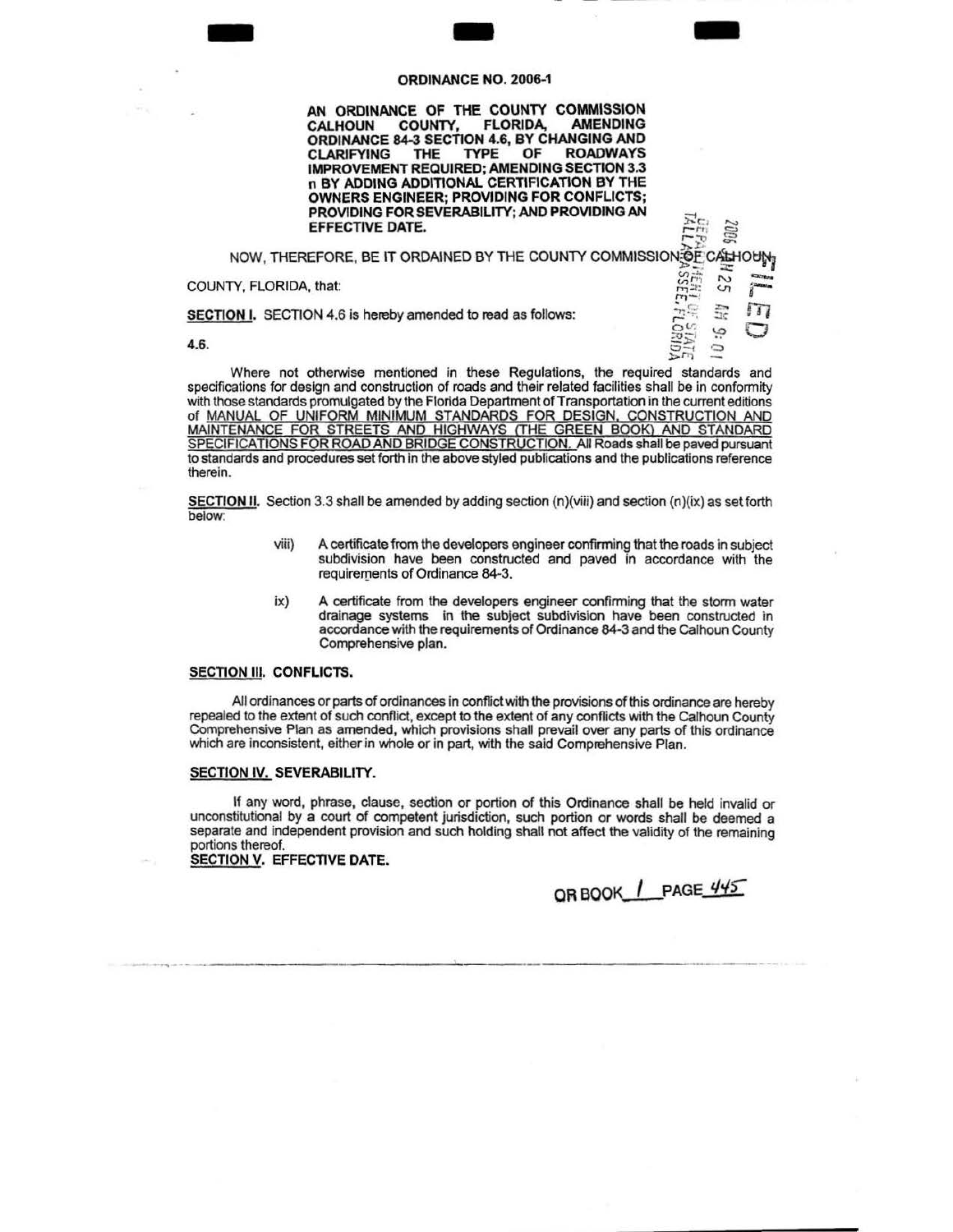## ORDINANCE N ORDINANCE NO. 2006-1

AN ORDINANCE OF THE COUNTY COMMISSION<br>CALHOUN COUNTY, FLORIDA, AMENDING CALHOUN COUNTY, FLORIDA, AMENDING ORDINANCE 84-3 SECTlON 4.6, BY CHANGING AND CLARIFYING THE TYPE OF ROADWAYS IMPROVEMENT REQUIRED; AMENDING SECTlON 3.3 n BY ADDING ADDITlONAL CERTIFICATION BY THE OWNERS ENGINEER; PROVIDING FOR CONFLICTS; PROVIDING FOR SEVERABILITY; AND PROVIDING AN **EFFECTIVE DATE.**  $\begin{bmatrix} P_{\text{eq}}^{\text{eq}} \\ \vdots \end{bmatrix}$ 

 $16.44$ NOW, THEREFORE, BE IT ORDAINED BY THE COUNTY COMMISSION OF CALHOUN <n;.t ~ - COUNTY, FLORIDA, that: ~ ::t~ v. ,..,\_. ' .<br>11EH UF STATE<br>ASSEE, FLORIDA

**SECTION I.** SECTION 4.6 is hereby amended to read as follows:<br>**4.6.**  $\begin{bmatrix} 2.4 & 0.0 & 0 \ 0 & 0.0 & 0 \ 0 & 0 & 0 \end{bmatrix}$  :  $\begin{bmatrix} 2.4 & 0.0 & 0 \ 0 & 2.4 & 0 \ 0 & 0.0 & 0 \end{bmatrix}$ 

4.6.  $\Box$ 

Where not otherwise mentioned in these Regulations, the required standards and specifications for design and construction of roads and their related facilities shall be in conformity with those standards promulgated by the Florida Department of Transportation in the current editions of MANUAL OF UNIFORM MINIMUM STANDARDS FOR DESIGN. CONSTRUCTION AND MAINTENANCE FOR STREETS AND HIGHWAYS ITHE GREEN BOOK) AND STANDARD SPECIFICATIONS FOR ROAD AND BRIDGE CONSTRUCTION. All Roads shall be paved pursuant to standards and procedures set forth in the above styled publications and the publications reference therein.

**SECTION II.** Section 3.3 shall be amended by adding section  $(n)(viii)$  and section  $(n)(ix)$  as set forth below:

- viii) A certificate from the developers engineer confirming that the roads in subject subdivision have been constructed and paved in accordance with the requirements of Ordinance 84-3.
- ix) A certificate from the developers engineer confirming that the storm water drainage systems in the subject subdivision have been constructed in accordance with the requirements of Ordinance 84-3 and the Calhoun County Comprehensive plan.

## SECTION III. CONFLICTS.

All ordinances or parts of ordinances in conflict with the provisions of this ordinance are hereby repealed to the extent of such conflict, except to the extent of any conflicts with the calhoun County Comprehensive Plan as amended, which provisions shall prevail over any parts of this ordinance which are inconsistent, either in whole or in part, with the said Comprehensive Plan.

## SECTION IV. SEVERABILITY.

If any word, phrase, clause, section or portion of this Ordinance shall be held invalid or unconstitutional by a court of competent jurisdiction, such portion or words shall be deemed a separate and independent provision and such holding shall not affect the validity of the remaining portions thereof.

SECTION V. EFFECTIVE DATE.

QR BOOK | PAGE 445

 $\frac{1}{2}$ 

-